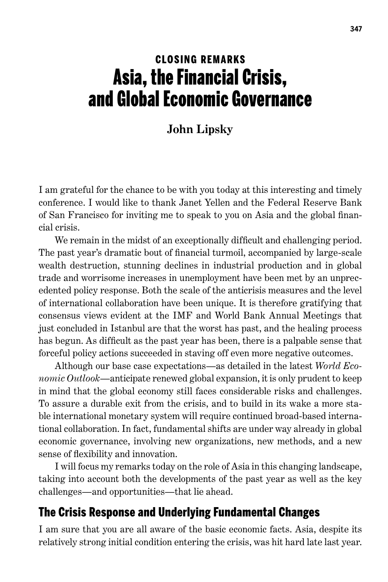# CLOSING REMARKS Asia, the Financial Crisis, and Global Economic Governance

#### **John Lipsky**

I am grateful for the chance to be with you today at this interesting and timely conference. I would like to thank Janet Yellen and the Federal Reserve Bank of San Francisco for inviting me to speak to you on Asia and the global financial crisis.

We remain in the midst of an exceptionally difficult and challenging period. The past year's dramatic bout of financial turmoil, accompanied by large-scale wealth destruction, stunning declines in industrial production and in global trade and worrisome increases in unemployment have been met by an unprecedented policy response. Both the scale of the anticrisis measures and the level of international collaboration have been unique. It is therefore gratifying that consensus views evident at the IMF and World Bank Annual Meetings that just concluded in Istanbul are that the worst has past, and the healing process has begun. As difficult as the past year has been, there is a palpable sense that forceful policy actions succeeded in staving off even more negative outcomes.

Although our base case expectations—as detailed in the latest *World Economic Outlook*—anticipate renewed global expansion, it is only prudent to keep in mind that the global economy still faces considerable risks and challenges. To assure a durable exit from the crisis, and to build in its wake a more stable international monetary system will require continued broad-based international collaboration. In fact, fundamental shifts are under way already in global economic governance, involving new organizations, new methods, and a new sense of flexibility and innovation.

I will focus my remarks today on the role of Asia in this changing landscape, taking into account both the developments of the past year as well as the key challenges—and opportunities—that lie ahead.

### The Crisis Response and Underlying Fundamental Changes

I am sure that you are all aware of the basic economic facts. Asia, despite its relatively strong initial condition entering the crisis, was hit hard late last year.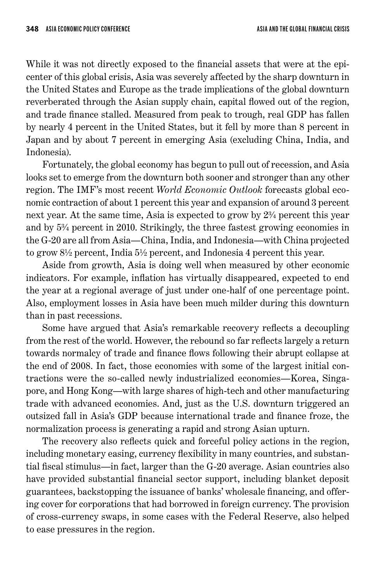While it was not directly exposed to the financial assets that were at the epicenter of this global crisis, Asia was severely affected by the sharp downturn in the United States and Europe as the trade implications of the global downturn reverberated through the Asian supply chain, capital flowed out of the region, and trade finance stalled. Measured from peak to trough, real GDP has fallen by nearly 4 percent in the United States, but it fell by more than 8 percent in Japan and by about 7 percent in emerging Asia (excluding China, India, and Indonesia).

Fortunately, the global economy has begun to pull out of recession, and Asia looks set to emerge from the downturn both sooner and stronger than any other region. The IMF's most recent *World Economic Outlook* forecasts global economic contraction of about 1 percent this year and expansion of around 3 percent next year. At the same time, Asia is expected to grow by 2¾ percent this year and by 5¾ percent in 2010. Strikingly, the three fastest growing economies in the G-20 are all from Asia—China, India, and Indonesia—with China projected to grow 8½ percent, India 5½ percent, and Indonesia 4 percent this year.

Aside from growth, Asia is doing well when measured by other economic indicators. For example, inflation has virtually disappeared, expected to end the year at a regional average of just under one-half of one percentage point. Also, employment losses in Asia have been much milder during this downturn than in past recessions.

Some have argued that Asia's remarkable recovery reflects a decoupling from the rest of the world. However, the rebound so far reflects largely a return towards normalcy of trade and finance flows following their abrupt collapse at the end of 2008. In fact, those economies with some of the largest initial contractions were the so-called newly industrialized economies—Korea, Singapore, and Hong Kong—with large shares of high-tech and other manufacturing trade with advanced economies. And, just as the U.S. downturn triggered an outsized fall in Asia's GDP because international trade and finance froze, the normalization process is generating a rapid and strong Asian upturn.

The recovery also reflects quick and forceful policy actions in the region, including monetary easing, currency flexibility in many countries, and substantial fiscal stimulus—in fact, larger than the G-20 average. Asian countries also have provided substantial financial sector support, including blanket deposit guarantees, backstopping the issuance of banks' wholesale financing, and offering cover for corporations that had borrowed in foreign currency. The provision of cross-currency swaps, in some cases with the Federal Reserve, also helped to ease pressures in the region.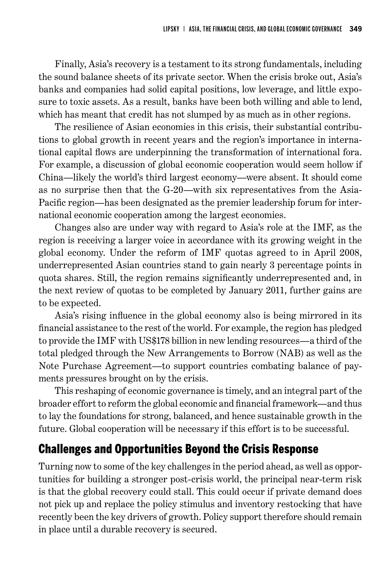Finally, Asia's recovery is a testament to its strong fundamentals, including the sound balance sheets of its private sector. When the crisis broke out, Asia's banks and companies had solid capital positions, low leverage, and little exposure to toxic assets. As a result, banks have been both willing and able to lend, which has meant that credit has not slumped by as much as in other regions.

The resilience of Asian economies in this crisis, their substantial contributions to global growth in recent years and the region's importance in international capital flows are underpinning the transformation of international fora. For example, a discussion of global economic cooperation would seem hollow if China—likely the world's third largest economy—were absent. It should come as no surprise then that the G-20—with six representatives from the Asia-Pacific region—has been designated as the premier leadership forum for international economic cooperation among the largest economies.

Changes also are under way with regard to Asia's role at the IMF, as the region is receiving a larger voice in accordance with its growing weight in the global economy. Under the reform of IMF quotas agreed to in April 2008, underrepresented Asian countries stand to gain nearly 3 percentage points in quota shares. Still, the region remains significantly underrepresented and, in the next review of quotas to be completed by January 2011, further gains are to be expected.

Asia's rising influence in the global economy also is being mirrored in its financial assistance to the rest of the world. For example, the region has pledged to provide the IMF with US\$178 billion in new lending resources—a third of the total pledged through the New Arrangements to Borrow (NAB) as well as the Note Purchase Agreement—to support countries combating balance of payments pressures brought on by the crisis.

This reshaping of economic governance is timely, and an integral part of the broader effort to reform the global economic and financial framework—and thus to lay the foundations for strong, balanced, and hence sustainable growth in the future. Global cooperation will be necessary if this effort is to be successful.

# Challenges and Opportunities Beyond the Crisis Response

Turning now to some of the key challenges in the period ahead, as well as opportunities for building a stronger post-crisis world, the principal near-term risk is that the global recovery could stall. This could occur if private demand does not pick up and replace the policy stimulus and inventory restocking that have recently been the key drivers of growth. Policy support therefore should remain in place until a durable recovery is secured.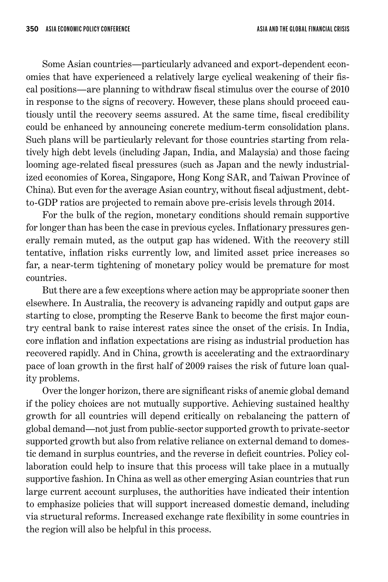Some Asian countries—particularly advanced and export-dependent economies that have experienced a relatively large cyclical weakening of their fiscal positions—are planning to withdraw fiscal stimulus over the course of 2010 in response to the signs of recovery. However, these plans should proceed cautiously until the recovery seems assured. At the same time, fiscal credibility could be enhanced by announcing concrete medium-term consolidation plans. Such plans will be particularly relevant for those countries starting from relatively high debt levels (including Japan, India, and Malaysia) and those facing looming age-related fiscal pressures (such as Japan and the newly industrialized economies of Korea, Singapore, Hong Kong SAR, and Taiwan Province of China). But even for the average Asian country, without fiscal adjustment, debtto-GDP ratios are projected to remain above pre-crisis levels through 2014.

For the bulk of the region, monetary conditions should remain supportive for longer than has been the case in previous cycles. Inflationary pressures generally remain muted, as the output gap has widened. With the recovery still tentative, inflation risks currently low, and limited asset price increases so far, a near-term tightening of monetary policy would be premature for most countries.

But there are a few exceptions where action may be appropriate sooner then elsewhere. In Australia, the recovery is advancing rapidly and output gaps are starting to close, prompting the Reserve Bank to become the first major country central bank to raise interest rates since the onset of the crisis. In India, core inflation and inflation expectations are rising as industrial production has recovered rapidly. And in China, growth is accelerating and the extraordinary pace of loan growth in the first half of 2009 raises the risk of future loan quality problems.

Over the longer horizon, there are significant risks of anemic global demand if the policy choices are not mutually supportive. Achieving sustained healthy growth for all countries will depend critically on rebalancing the pattern of global demand—not just from public-sector supported growth to private-sector supported growth but also from relative reliance on external demand to domestic demand in surplus countries, and the reverse in deficit countries. Policy collaboration could help to insure that this process will take place in a mutually supportive fashion. In China as well as other emerging Asian countries that run large current account surpluses, the authorities have indicated their intention to emphasize policies that will support increased domestic demand, including via structural reforms. Increased exchange rate flexibility in some countries in the region will also be helpful in this process.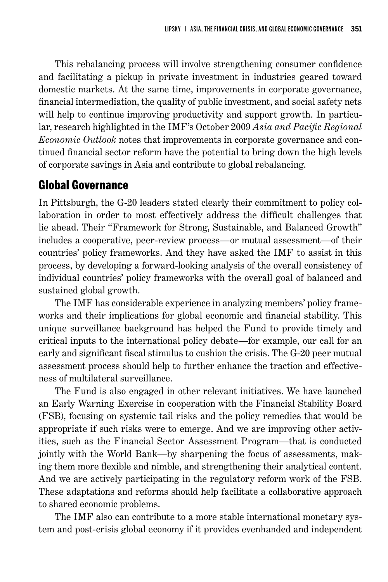This rebalancing process will involve strengthening consumer confidence and facilitating a pickup in private investment in industries geared toward domestic markets. At the same time, improvements in corporate governance, financial intermediation, the quality of public investment, and social safety nets will help to continue improving productivity and support growth. In particular, research highlighted in the IMF's October 2009 *Asia and Pacific Regional Economic Outlook* notes that improvements in corporate governance and continued financial sector reform have the potential to bring down the high levels of corporate savings in Asia and contribute to global rebalancing.

## Global Governance

In Pittsburgh, the G-20 leaders stated clearly their commitment to policy collaboration in order to most effectively address the difficult challenges that lie ahead. Their "Framework for Strong, Sustainable, and Balanced Growth" includes a cooperative, peer-review process—or mutual assessment—of their countries' policy frameworks. And they have asked the IMF to assist in this process, by developing a forward-looking analysis of the overall consistency of individual countries' policy frameworks with the overall goal of balanced and sustained global growth.

The IMF has considerable experience in analyzing members' policy frameworks and their implications for global economic and financial stability. This unique surveillance background has helped the Fund to provide timely and critical inputs to the international policy debate—for example, our call for an early and significant fiscal stimulus to cushion the crisis. The G-20 peer mutual assessment process should help to further enhance the traction and effectiveness of multilateral surveillance.

The Fund is also engaged in other relevant initiatives. We have launched an Early Warning Exercise in cooperation with the Financial Stability Board (FSB), focusing on systemic tail risks and the policy remedies that would be appropriate if such risks were to emerge. And we are improving other activities, such as the Financial Sector Assessment Program—that is conducted jointly with the World Bank—by sharpening the focus of assessments, making them more flexible and nimble, and strengthening their analytical content. And we are actively participating in the regulatory reform work of the FSB. These adaptations and reforms should help facilitate a collaborative approach to shared economic problems.

The IMF also can contribute to a more stable international monetary system and post-crisis global economy if it provides evenhanded and independent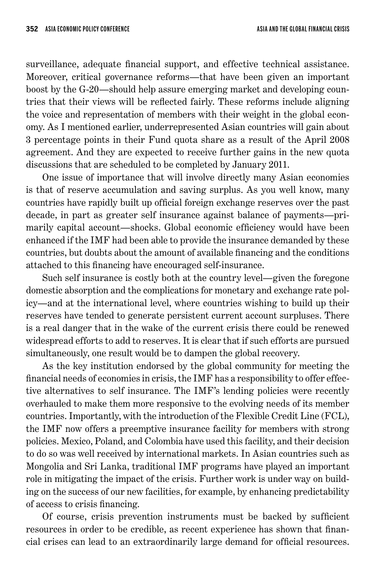surveillance, adequate financial support, and effective technical assistance. Moreover, critical governance reforms—that have been given an important boost by the G-20—should help assure emerging market and developing countries that their views will be reflected fairly. These reforms include aligning the voice and representation of members with their weight in the global economy. As I mentioned earlier, underrepresented Asian countries will gain about 3 percentage points in their Fund quota share as a result of the April 2008 agreement. And they are expected to receive further gains in the new quota discussions that are scheduled to be completed by January 2011.

One issue of importance that will involve directly many Asian economies is that of reserve accumulation and saving surplus. As you well know, many countries have rapidly built up official foreign exchange reserves over the past decade, in part as greater self insurance against balance of payments—primarily capital account—shocks. Global economic efficiency would have been enhanced if the IMF had been able to provide the insurance demanded by these countries, but doubts about the amount of available financing and the conditions attached to this financing have encouraged self-insurance.

Such self insurance is costly both at the country level—given the foregone domestic absorption and the complications for monetary and exchange rate policy—and at the international level, where countries wishing to build up their reserves have tended to generate persistent current account surpluses. There is a real danger that in the wake of the current crisis there could be renewed widespread efforts to add to reserves. It is clear that if such efforts are pursued simultaneously, one result would be to dampen the global recovery.

As the key institution endorsed by the global community for meeting the financial needs of economies in crisis, the IMF has a responsibility to offer effective alternatives to self insurance. The IMF's lending policies were recently overhauled to make them more responsive to the evolving needs of its member countries. Importantly, with the introduction of the Flexible Credit Line (FCL), the IMF now offers a preemptive insurance facility for members with strong policies. Mexico, Poland, and Colombia have used this facility, and their decision to do so was well received by international markets. In Asian countries such as Mongolia and Sri Lanka, traditional IMF programs have played an important role in mitigating the impact of the crisis. Further work is under way on building on the success of our new facilities, for example, by enhancing predictability of access to crisis financing.

Of course, crisis prevention instruments must be backed by sufficient resources in order to be credible, as recent experience has shown that financial crises can lead to an extraordinarily large demand for official resources.